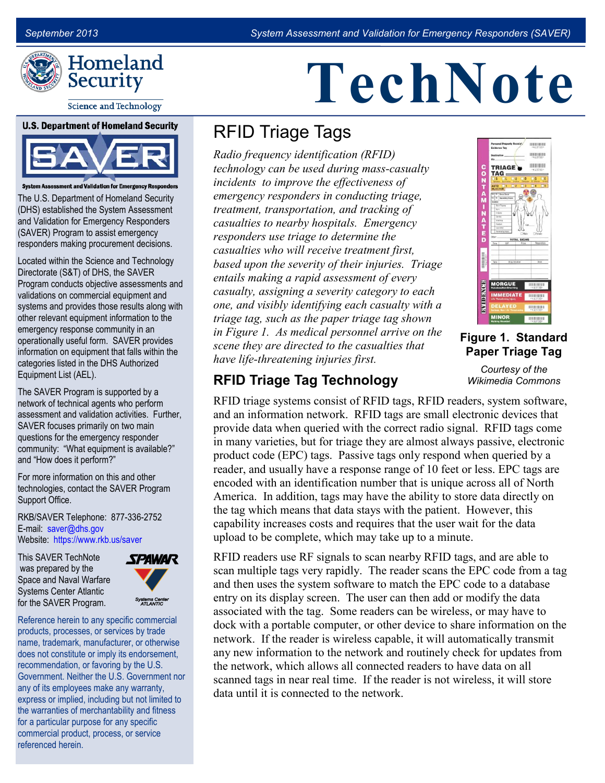

# **TechNote**

#### **Science and Technology**

### **U.S. Department of Homeland Security**



m Assessment and Validation for Emergency Responders

The U.S. Department of Homeland Security (DHS) established the System Assessment and Validation for Emergency Responders (SAVER) Program to assist emergency responders making procurement decisions.

Located within the Science and Technology Directorate (S&T) of DHS, the SAVER Program conducts objective assessments and validations on commercial equipment and systems and provides those results along with other relevant equipment information to the emergency response community in an operationally useful form. SAVER provides information on equipment that falls within the categories listed in the DHS Authorized Equipment List (AEL).

The SAVER Program is supported by a network of technical agents who perform assessment and validation activities. Further, SAVER focuses primarily on two main questions for the emergency responder community: "What equipment is available?" and "How does it perform?"

For more information on this and other technologies, contact the SAVER Program Support Office.

E-mail: saver@dhs.gov Website: [https://www.rkb.us/saver](www.firstresponder.gov/saver) RKB/SAVER Telephone: 877-336-2752

This SAVER TechNote was prepared by the Space and Naval Warfare Systems Center Atlantic for the SAVER Program.



Reference herein to any specific commercial products, processes, or services by trade name, trademark, manufacturer, or otherwise does not constitute or imply its endorsement, recommendation, or favoring by the U.S. Government. Neither the U.S. Government nor any of its employees make any warranty, express or implied, including but not limited to the warranties of merchantability and fitness for a particular purpose for any specific commercial product, process, or service referenced herein.

# RFID Triage Tags

*Radio frequency identification (RFID) technology can be used during mass-casualty incidents to improve the effectiveness of emergency responders in conducting triage, treatment, transportation, and tracking of casualties to nearby hospitals. Emergency responders use triage to determine the casualties who will receive treatment first, based upon the severity of their injuries. Triage entails making a rapid assessment of every casualty, assigning a severity category to each one, and visibly identifying each casualty with a triage tag, such as the paper triage tag shown in Figure 1. As medical personnel arrive on the scene they are directed to the casualties that have life-threatening injuries first.* 



**Figure 1. Standard Paper Triage Tag** 

*Courtesy of the* 

# **RFID Triage Tag Technology** *Wikimedia Commons*

RFID triage systems consist of RFID tags, RFID readers, system software, and an information network. RFID tags are small electronic devices that provide data when queried with the correct radio signal. RFID tags come in many varieties, but for triage they are almost always passive, electronic product code (EPC) tags. Passive tags only respond when queried by a reader, and usually have a response range of 10 feet or less. EPC tags are encoded with an identification number that is unique across all of North America. In addition, tags may have the ability to store data directly on the tag which means that data stays with the patient. However, this capability increases costs and requires that the user wait for the data upload to be complete, which may take up to a minute.

RFID readers use RF signals to scan nearby RFID tags, and are able to scan multiple tags very rapidly. The reader scans the EPC code from a tag and then uses the system software to match the EPC code to a database entry on its display screen. The user can then add or modify the data associated with the tag. Some readers can be wireless, or may have to dock with a portable computer, or other device to share information on the network. If the reader is wireless capable, it will automatically transmit any new information to the network and routinely check for updates from the network, which allows all connected readers to have data on all scanned tags in near real time. If the reader is not wireless, it will store data until it is connected to the network.